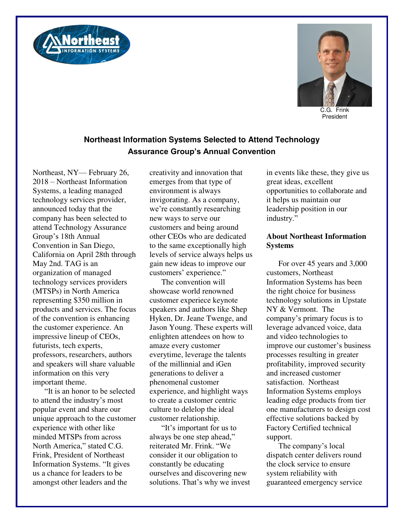



C.G. Frink President

## **Northeast Information Systems Selected to Attend Technology Assurance Group's Annual Convention**

Northeast, NY— February 26, 2018 – Northeast Information Systems, a leading managed technology services provider, announced today that the company has been selected to attend Technology Assurance Group's 18th Annual Convention in San Diego, California on April 28th through May 2nd. TAG is an organization of managed technology services providers (MTSPs) in North America representing \$350 million in products and services. The focus of the convention is enhancing the customer experience. An impressive lineup of CEOs, futurists, tech experts, professors, researchers, authors and speakers will share valuable information on this very important theme.

"It is an honor to be selected to attend the industry's most popular event and share our unique approach to the customer experience with other like minded MTSPs from across North America," stated C.G. Frink, President of Northeast Information Systems. "It gives us a chance for leaders to be amongst other leaders and the

creativity and innovation that emerges from that type of environment is always invigorating. As a company, we're constantly researching new ways to serve our customers and being around other CEOs who are dedicated to the same exceptionally high levels of service always helps us gain new ideas to improve our customers' experience."

The convention will showcase world renowned customer experiece keynote speakers and authors like Shep Hyken, Dr. Jeane Twenge, and Jason Young. These experts will enlighten attendees on how to amaze every customer everytime, leverage the talents of the millinnial and iGen generations to deliver a phenomenal customer experience, and highlight ways to create a customer centric culture to delelop the ideal customer relationship.

"It's important for us to always be one step ahead," reiterated Mr. Frink. "We consider it our obligation to constantly be educating ourselves and discovering new solutions. That's why we invest in events like these, they give us great ideas, excellent opportunities to collaborate and it helps us maintain our leadership position in our industry."

## **About Northeast Information Systems**

For over 45 years and 3,000 customers, Northeast Information Systems has been the right choice for business technology solutions in Upstate NY & Vermont. The company's primary focus is to leverage advanced voice, data and video technologies to improve our customer's business processes resulting in greater profitability, improved security and increased customer satisfaction. Northeast Information Systems employs leading edge products from tier one manufacturers to design cost effective solutions backed by Factory Certified technical support.

The company's local dispatch center delivers round the clock service to ensure system reliability with guaranteed emergency service